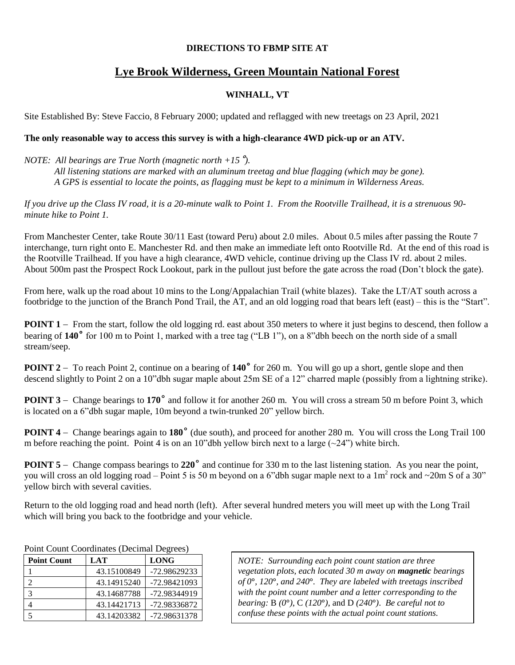### **DIRECTIONS TO FBMP SITE AT**

# **Lye Brook Wilderness, Green Mountain National Forest**

## **WINHALL, VT**

Site Established By: Steve Faccio, 8 February 2000; updated and reflagged with new treetags on 23 April, 2021

## **The only reasonable way to access this survey is with a high-clearance 4WD pick-up or an ATV.**

### *NOTE: All bearings are True North (magnetic north +15*˚*).*

*All listening stations are marked with an aluminum treetag and blue flagging (which may be gone). A GPS is essential to locate the points, as flagging must be kept to a minimum in Wilderness Areas.*

*If you drive up the Class IV road, it is a 20-minute walk to Point 1. From the Rootville Trailhead, it is a strenuous 90 minute hike to Point 1.*

From Manchester Center, take Route 30/11 East (toward Peru) about 2.0 miles. About 0.5 miles after passing the Route 7 interchange, turn right onto E. Manchester Rd. and then make an immediate left onto Rootville Rd. At the end of this road is the Rootville Trailhead. If you have a high clearance, 4WD vehicle, continue driving up the Class IV rd. about 2 miles. About 500m past the Prospect Rock Lookout, park in the pullout just before the gate across the road (Don't block the gate).

From here, walk up the road about 10 mins to the Long/Appalachian Trail (white blazes). Take the LT/AT south across a footbridge to the junction of the Branch Pond Trail, the AT, and an old logging road that bears left (east) – this is the "Start".

**POINT 1** – From the start, follow the old logging rd. east about 350 meters to where it just begins to descend, then follow a bearing of **140˚** for 100 m to Point 1, marked with a tree tag ("LB 1"), on a 8"dbh beech on the north side of a small stream/seep.

**POINT 2** – To reach Point 2, continue on a bearing of 140<sup>°</sup> for 260 m. You will go up a short, gentle slope and then descend slightly to Point 2 on a 10"dbh sugar maple about 25m SE of a 12" charred maple (possibly from a lightning strike).

**POINT 3** – Change bearings to 170<sup>°</sup> and follow it for another 260 m. You will cross a stream 50 m before Point 3, which is located on a 6"dbh sugar maple, 10m beyond a twin-trunked 20" yellow birch.

**POINT 4** – Change bearings again to 180<sup>°</sup> (due south), and proceed for another 280 m. You will cross the Long Trail 100 m before reaching the point. Point 4 is on an 10"dbh yellow birch next to a large  $(\sim 24" )$  white birch.

**POINT 5** – Change compass bearings to 220<sup>°</sup> and continue for 330 m to the last listening station. As you near the point, you will cross an old logging road – Point 5 is 50 m beyond on a 6"dbh sugar maple next to a 1m<sup>2</sup> rock and ~20m S of a 30" yellow birch with several cavities.

Return to the old logging road and head north (left). After several hundred meters you will meet up with the Long Trail which will bring you back to the footbridge and your vehicle.

| Point Count Coordinates (Decimal Degrees) |  |  |
|-------------------------------------------|--|--|
|-------------------------------------------|--|--|

| <b>Point Count</b>      | LAT         | <b>LONG</b>  |
|-------------------------|-------------|--------------|
|                         | 43.15100849 | -72.98629233 |
|                         | 43.14915240 | -72.98421093 |
| $\mathbf{\overline{3}}$ | 43.14687788 | -72.98344919 |
|                         | 43.14421713 | -72.98336872 |
| 5                       | 43.14203382 | -72.98631378 |

*NOTE: Surrounding each point count station are three vegetation plots, each located 30 m away on magnetic bearings of 0***°***, 120***°***, and 240***°***. They are labeled with treetags inscribed with the point count number and a letter corresponding to the bearing:* B *(0***°***)*, C *(120***°***)*, and D *(240***°***)*. *Be careful not to confuse these points with the actual point count stations.*